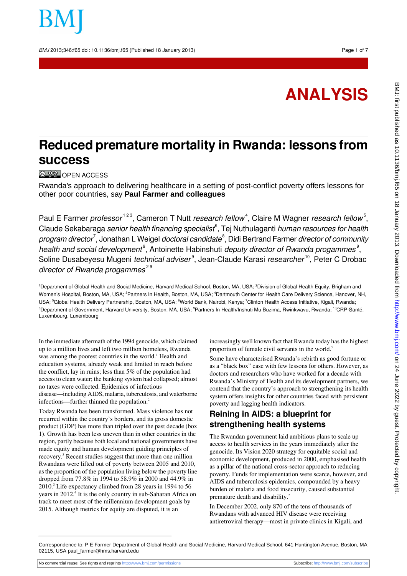BMJ 2013;346:f65 doi: 10.1136/bmj.f65 (Published 18 January 2013) Page 1 of 7

# **ANALYSIS**

## **Reduced premature mortality in Rwanda: lessons from success**

**COO** OPEN ACCESS

Rwanda's approach to delivering healthcare in a setting of post-conflict poverty offers lessons for other poor countries, say **Paul Farmer and colleagues**

Paul E Farmer *professor*<sup>123</sup>, Cameron T Nutt research fellow<sup>4</sup>, Claire M Wagner research fellow<sup>5</sup>, Claude Sekabaraga senior health financing specialist<sup>6</sup>, Tej Nuthulaganti *human resources for health* program director<sup>7</sup>, Jonathan L Weigel *doctoral candidate*  $^{\text{\tiny{\textregistered}}},$  Didi Bertrand Farmer *director of community* health and social development<sup>9</sup>, Antoinette Habinshuti deputy director of Rwanda progammes<sup>9</sup>, Soline Dusabeyesu Mugeni *technical adviser* , Jean-Claude Karasi *researcher* 10, Peter C Drobac director of Rwanda progammes<sup>29</sup>

<sup>1</sup>Department of Global Health and Social Medicine, Harvard Medical School, Boston, MA, USA; <sup>2</sup>Division of Global Health Equity, Brigham and Women's Hospital, Boston, MA, USA; <sup>3</sup>Partners In Health, Boston, MA, USA; <sup>4</sup>Dartmouth Center for Health Care Delivery Science, Hanover, NH, USA; <sup>5</sup>Global Health Delivery Partnership, Boston, MA, USA; <sup>6</sup>World Bank, Nairobi, Kenya; <sup>7</sup>Clinton Health Access Initiative, Kigali, Rwanda; <sup>8</sup>Department of Government, Harvard University, Boston, MA, USA; <sup>9</sup>Partners In Health/Inshuti Mu Buzima, Rwinkwavu, Rwanda; <sup>10</sup>CRP-Santé, Luxembourg, Luxembourg

In the immediate aftermath of the 1994 genocide, which claimed up to a million lives and left two million homeless, Rwanda was among the poorest countries in the world.<sup>1</sup> Health and education systems, already weak and limited in reach before the conflict, lay in ruins; less than 5% of the population had access to clean water; the banking system had collapsed; almost no taxes were collected. Epidemics of infectious disease—including AIDS, malaria, tuberculosis, and waterborne infections—further thinned the population.<sup>2</sup>

Today Rwanda has been transformed. Mass violence has not recurred within the country's borders, and its gross domestic product (GDP) has more than tripled over the past decade (box 1). Growth has been less uneven than in other countries in the region, partly because both local and national governments have made equity and human development guiding principles of recovery.<sup>3</sup> Recent studies suggest that more than one million Rwandans were lifted out of poverty between 2005 and 2010, as the proportion of the population living below the poverty line dropped from 77.8% in 1994 to 58.9% in 2000 and 44.9% in 2010.<sup>3</sup> Life expectancy climbed from 28 years in 1994 to 56 years in 2012.<sup>4</sup> It is the only country in sub-Saharan Africa on track to meet most of the millennium development goals by 2015. Although metrics for equity are disputed, it is an

increasingly well known fact that Rwanda today has the highest proportion of female civil servants in the world.<sup>5</sup>

Some have characterised Rwanda's rebirth as good fortune or as a "black box" case with few lessons for others. However, as doctors and researchers who have worked for a decade with Rwanda's Ministry of Health and its development partners, we contend that the country's approach to strengthening its health system offers insights for other countries faced with persistent poverty and lagging health indicators.

### **Reining in AIDS: a blueprint for strengthening health systems**

The Rwandan government laid ambitious plans to scale up access to health services in the years immediately after the genocide. Its Vision 2020 strategy for equitable social and economic development, produced in 2000, emphasised health as a pillar of the national cross-sector approach to reducing poverty. Funds for implementation were scarce, however, and AIDS and tuberculosis epidemics, compounded by a heavy burden of malaria and food insecurity, caused substantial premature death and disability.<sup>2</sup>

In December 2002, only 870 of the tens of thousands of Rwandans with advanced HIV disease were receiving antiretroviral therapy—most in private clinics in Kigali, and

Correspondence to: P E Farmer Department of Global Health and Social Medicine, Harvard Medical School, 641 Huntington Avenue, Boston, MA 02115, USA paul\_farmer@hms.harvard.edu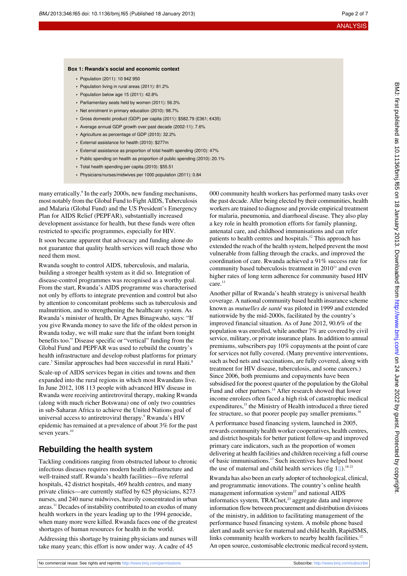#### **Box 1: Rwanda's social and economic context**

- **•** Population (2011): 10 942 950
- **•** Population living in rural areas (2011): 81.2%
- **•** Population below age 15 (2011): 42.8%
- **•** Parliamentary seats held by women (2011): 56.3%
- **•** Net enrolment in primary education (2010): 98.7%
- **•** Gross domestic product (GDP) per capita (2011): \$582.79 (£361; €435)
- **•** Average annual GDP growth over past decade (2002-11): 7.6%
- **•** Agriculture as percentage of GDP (2010): 32.2%
- **•** External assistance for health (2010): \$277m
- **•** External assistance as proportion of total health spending (2010): 47%
- **•** Public spending on health as proportion of public spending (2010): 20.1%
- **•** Total health spending per capita (2010): \$55.51
- **•** Physicians/nurses/midwives per 1000 population (2011): 0.84

many erratically.<sup>6</sup> In the early 2000s, new funding mechanisms, most notably from the Global Fund to Fight AIDS, Tuberculosis and Malaria (Global Fund) and the US President's Emergency Plan for AIDS Relief (PEPFAR), substantially increased development assistance for health, but these funds were often restricted to specific programmes, especially for HIV.

It soon became apparent that advocacy and funding alone do not guarantee that quality health services will reach those who need them most.

Rwanda sought to control AIDS, tuberculosis, and malaria, building a stronger health system as it did so. Integration of disease-control programmes was recognised as a worthy goal. From the start, Rwanda's AIDS programme was characterised not only by efforts to integrate prevention and control but also by attention to concomitant problems such as tuberculosis and malnutrition, and to strengthening the healthcare system. As Rwanda's minister of health, Dr Agnes Binagwaho, says: "If you give Rwanda money to save the life of the oldest person in Rwanda today, we will make sure that the infant born tonight benefits too." Disease specific or "vertical" funding from the Global Fund and PEPFAR was used to rebuild the country's health infrastructure and develop robust platforms for primary care.<sup>7</sup> Similar approaches had been successful in rural Haiti.<sup>8</sup>

Scale-up of AIDS services began in cities and towns and then expanded into the rural regions in which most Rwandans live. In June 2012, 108 113 people with advanced HIV disease in Rwanda were receiving antiretroviral therapy, making Rwanda (along with much richer Botswana) one of only two countries in sub-Saharan Africa to achieve the United Nations goal of universal access to antiretroviral therapy.<sup>9</sup> Rwanda's HIV epidemic has remained at a prevalence of about 3% for the past seven years.<sup>10</sup>

#### **Rebuilding the health system**

Tackling conditions ranging from obstructed labour to chronic infectious diseases requires modern health infrastructure and well-trained staff. Rwanda's health facilities—five referral hospitals, 42 district hospitals, 469 health centres, and many private clinics—are currently staffed by 625 physicians, 8273 nurses, and 240 nurse midwives, heavily concentrated in urban areas.<sup>11</sup> Decades of instability contributed to an exodus of many health workers in the years leading up to the 1994 genocide, when many more were killed. Rwanda faces one of the greatest shortages of human resources for health in the world.

Addressing this shortage by training physicians and nurses will take many years; this effort is now under way. A cadre of 45

000 community health workers has performed many tasks over the past decade. After being elected by their communities, health workers are trained to diagnose and provide empirical treatment for malaria, pneumonia, and diarrhoeal disease. They also play a key role in health promotion efforts for family planning, antenatal care, and childhood immunisations and can refer patients to health centres and hospitals.<sup>12</sup> This approach has extended the reach of the health system, helped prevent the most vulnerable from falling through the cracks, and improved the coordination of care. Rwanda achieved a 91% success rate for community based tuberculosis treatment in  $2010<sup>11</sup>$  and even higher rates of long term adherence for community based HIV care.<sup>13</sup>

Another pillar of Rwanda's health strategy is universal health coverage. A national community based health insurance scheme known as *mutuelles de santé* was piloted in 1999 and extended nationwide by the mid-2000s, facilitated by the country's improved financial situation. As of June 2012, 90.6% of the population was enrolled, while another 7% are covered by civil service, military, or private insurance plans. In addition to annual premiums, subscribers pay 10% copayments at the point of care for services not fully covered. (Many preventive interventions, such as bed nets and vaccinations, are fully covered, along with treatment for HIV disease, tuberculosis, and some cancers.) Since 2006, both premiums and copayments have been subsidised for the poorest quarter of the population by the Global Fund and other partners.<sup>14</sup> After research showed that lower income enrolees often faced a high risk of catastrophic medical expenditures,<sup>15</sup> the Ministry of Health introduced a three tiered fee structure, so that poorer people pay smaller premiums.<sup>16</sup>

A performance based financing system, launched in 2005, rewards community health worker cooperatives, health centres, and district hospitals for better patient follow-up and improved primary care indicators, such as the proportion of women delivering at health facilities and children receiving a full course of basic immunisations.<sup>17</sup> Such incentives have helped boost the use of maternal and child health services (fig  $1/1$ ).<sup>18-21</sup>

Rwanda has also been an early adopter of technological, clinical, and programmatic innovations. The country's online health management information system $^{22}$  and national AIDS informatics system, TRACnet,<sup>23</sup> aggregate data and improve information flow between procurement and distribution divisions of the ministry, in addition to facilitating management of the performance based financing system. A mobile phone based alert and audit service for maternal and child health, RapidSMS, links community health workers to nearby health facilities.<sup>12</sup> An open source, customisable electronic medical record system,

No commercial reuse: See rights and reprints <http://www.bmj.com/permissions> Subscribe: <http://www.bmj.com/subscribe>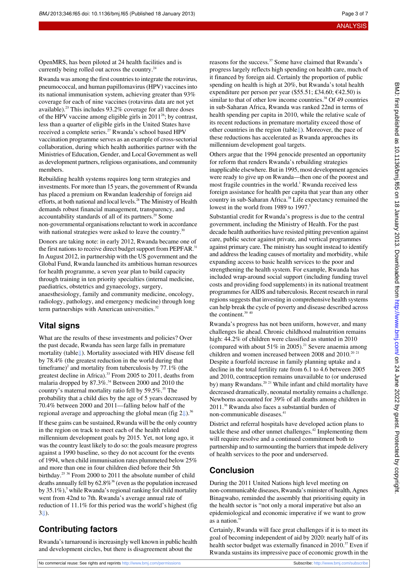OpenMRS, has been piloted at 24 health facilities and is currently being rolled out across the country.<sup>24</sup>

Rwanda was among the first countries to integrate the rotavirus, pneumococcal, and human papillomavirus (HPV) vaccines into its national immunisation system, achieving greater than 93% coverage for each of nine vaccines (rotavirus data are not yet available).<sup>25</sup> This includes  $93.2\%$  coverage for all three doses of the HPV vaccine among eligible girls in  $2011^{26}$ ; by contrast, less than a quarter of eligible girls in the United States have received a complete series.<sup>27</sup> Rwanda's school based HPV vaccination programme serves as an example of cross-sectorial collaboration, during which health authorities partner with the Ministries of Education, Gender, and Local Government as well as development partners, religious organisations, and community members.

Rebuilding health systems requires long term strategies and investments. For more than 15 years, the government of Rwanda has placed a premium on Rwandan leadership of foreign aid efforts, at both national and local levels.<sup>28</sup> The Ministry of Health demands robust financial management, transparency, and accountability standards of all of its partners.<sup>29</sup> Some non-governmental organisations reluctant to work in accordance with national strategies were asked to leave the country.<sup>30</sup>

Donors are taking note: in early 2012, Rwanda became one of the first nations to receive direct budget support from PEPFAR.<sup>31</sup> In August 2012, in partnership with the US government and the Global Fund, Rwanda launched its ambitious human resources for health programme, a seven year plan to build capacity through training in ten priority specialties (internal medicine, paediatrics, obstetrics and gynaecology, surgery, anaesthesiology, family and community medicine, oncology, radiology, pathology, and emergency medicine) through long term partnerships with American universities.<sup>32</sup>

### **Vital signs**

What are the results of these investments and policies? Over the past decade, Rwanda has seen large falls in premature mortality (tabl[e⇓](#page-5-0)). Mortality associated with HIV disease fell by 78.4% (the greatest reduction in the world during that timeframe)<sup>2</sup> and mortality from tuberculosis by  $77.1\%$  (the greatest decline in Africa).<sup>33</sup> From 2005 to 2011, deaths from malaria dropped by 87.3%.<sup>34</sup> Between 2000 and 2010 the country's maternal mortality ratio fell by 59.5%.<sup>35</sup> The probability that a child dies by the age of 5 years decreased by 70.4% between 2000 and 2011—falling below half of the regionalaverage and approaching the global mean (fig  $2\sqrt{1}$ ).<sup>36</sup> If these gains can be sustained, Rwanda will be the only country in the region on track to meet each of the health related millennium development goals by 2015. Yet, not long ago, it was the country least likely to do so: the goals measure progress against a 1990 baseline, so they do not account for the events of 1994, when child immunisation rates plummeted below 25% and more than one in four children died before their 5th birthday.25 36 From 2000 to 2011 the absolute number of child deaths annually fell by  $62.8\%$ <sup>36</sup> (even as the population increased by 35.1%),<sup>5</sup> while Rwanda's regional ranking for child mortality went from 42nd to 7th. Rwanda's average annual rate of reduction of 11.1% for this period was the world's highest (fig  $3\parallel$ ).

## **Contributing factors**

Rwanda's turnaround is increasingly well known in public health and development circles, but there is disagreement about the

reasons for the success.<sup>37</sup> Some have claimed that Rwanda's progress largely reflects high spending on health care, much of it financed by foreign aid. Certainly the proportion of public spending on health is high at 20%, but Rwanda's total health expenditure per person per year (\$55.51; £34.60;  $\epsilon$ 42.50) is similar to that of other low income countries.<sup>38</sup> Of 49 countries in sub-Saharan Africa, Rwanda was ranked 22nd in terms of health spending per capita in 2010, while the relative scale of its recent reductions in premature mortality exceed those of other countries in the region (tabl[e⇓](#page-5-0)). Moreover, the pace of these reductions has accelerated as Rwanda approaches its millennium development goal targets.

Others argue that the 1994 genocide presented an opportunity for reform that renders Rwanda's rebuilding strategies inapplicable elsewhere. But in 1995, most development agencies were ready to give up on Rwanda—then one of the poorest and most fragile countries in the world.<sup>1</sup> Rwanda received less foreign assistance for health per capita that year than any other country in sub-Saharan Africa.<sup>38</sup> Life expectancy remained the lowest in the world from 1989 to 1997.<sup>5</sup>

Substantial credit for Rwanda's progress is due to the central government, including the Ministry of Health. For the past decade health authorities have resisted pitting prevention against care, public sector against private, and vertical programmes against primary care. The ministry has sought instead to identify and address the leading causes of mortality and morbidity, while expanding access to basic health services to the poor and strengthening the health system. For example, Rwanda has included wrap-around social support (including funding travel costs and providing food supplements) in its national treatment programmes for AIDS and tuberculosis. Recent research in rural regions suggests that investing in comprehensive health systems can help break the cycle of poverty and disease described across the continent.<sup>39 40</sup>

Rwanda's progress has not been uniform, however, and many challenges lie ahead. Chronic childhood malnutrition remains high: 44.2% of children were classified as stunted in 2010 (compared with about  $51\%$  in 2005).<sup>21</sup> Severe anaemia among children and women increased between 2008 and  $2010$ .<sup>20 21</sup> Despite a fourfold increase in family planning uptake and a decline in the total fertility rate from 6.1 to 4.6 between 2005 and 2010, contraception remains unavailable to (or underused by) many Rwandans.<sup>20 21</sup> While infant and child mortality have decreased dramatically, neonatal mortality remains a challenge. Newborns accounted for 39% of all deaths among children in 2011.<sup>36</sup> Rwanda also faces a substantial burden of non-communicable diseases.<sup>41</sup>

District and referral hospitals have developed action plans to tackle these and other unmet challenges.<sup>42</sup> Implementing them will require resolve and a continued commitment both to partnership and to surmounting the barriers that impede delivery of health services to the poor and underserved.

### **Conclusion**

During the 2011 United Nations high level meeting on non-communicable diseases, Rwanda's minister of health, Agnes Binagwaho, reminded the assembly that prioritising equity in the health sector is "not only a moral imperative but also an epidemiological and economic imperative if we want to grow as a nation."

Certainly, Rwanda will face great challenges if it is to meet its goal of becoming independent of aid by 2020: nearly half of its health sector budget was externally financed in 2010.<sup>37</sup> Even if Rwanda sustains its impressive pace of economic growth in the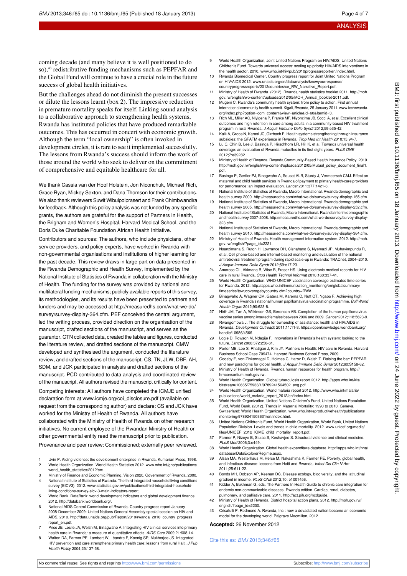coming decade (and many believe it is well positioned to do so),<sup>43</sup> redistributive funding mechanisms such as PEPFAR and the Global Fund will continue to have a crucial role in the future success of global health initiatives.

But the challenges ahead do not diminish the present successes or dilute the lessons learnt (box 2). The impressive reduction in premature mortality speaks for itself. Linking sound analysis to a collaborative approach to strengthening health systems, Rwanda has instituted policies that have produced remarkable outcomes. This has occurred in concert with economic growth. Although the term "local ownership" is often invoked in development circles, it is rare to see it implemented successfully. The lessons from Rwanda's success should inform the work of those around the world who seek to deliver on the commitment of comprehensive and equitable healthcare for all.

We thank Cassia van der Hoof Holstein, Jon Niconchuk, Michael Rich, Grace Ryan, Mickey Sexton, and Dana Thomson for their contributions. We also thank reviewers Suwit Wibulpolprasert and Frank Chimbwandira for feedback. Although this policy analysis was not funded by any specific grants, the authors are grateful for the support of Partners In Health, the Brigham and Women's Hospital, Harvard Medical School, and the Doris Duke Charitable Foundation African Health Initiative.

Contributors and sources: The authors, who include physicians, other service providers, and policy experts, have worked in Rwanda with non-governmental organisations and institutions of higher learning for the past decade. This review draws in large part on data presented in the Rwanda Demographic and Health Survey, implemented by the National Institute of Statistics of Rwanda in collaboration with the Ministry of Health. The funding for the survey was provided by national and multilateral funding mechanisms; publicly available reports of this survey, its methodologies, and its results have been presented to partners and funders and may be accessed at [http://measuredhs.com/what-we-do/](http://measuredhs.com/what-we-do/survey/survey-display-364.cfm) [survey/survey-display-364.cfm.](http://measuredhs.com/what-we-do/survey/survey-display-364.cfm) PEF conceived the central argument, led the writing process, provided direction on the organisation of the manuscript, drafted sections of the manuscript, and serves as the guarantor. CTN collected data, created the tables and figures, conducted the literature review, and drafted sections of the manuscript. CMW developed and synthesised the argument, conducted the literature review, and drafted sections of the manuscript. CS, TN, JLW, DBF, AH, SDM, and JCK participated in analysis and drafted sections of the manuscript. PCD contributed to data analysis and coordinated review of the manuscript. All authors revised the manuscript critically for content. Competing interests: All authors have completed the ICMJE unified declaration form at [www.icmje.org/coi\\_disclosure.pdf](http://www.icmje.org/coi_disclosure.pdf) (available on request from the corresponding author) and declare: CS and JCK have worked for the Ministry of Health of Rwanda. All authors have collaborated with the Ministry of Health of Rwanda on other research initiatives. No current employee of the Rwandan Ministry of Health or other governmental entity read the manuscript prior to publication.

Provenance and peer review: Commissioned; externally peer reviewed.

- 1 Uvin P. Aiding violence: the development enterprise in Rwanda. Kumarian Press, 1998. 2 World Health Organization. World Health Statistics 2012. [www.who.int/gho/publications/](http://www.who.int/gho/publications/world_health_statistics/2012/en/) [world\\_health\\_statistics/2012/en/.](http://www.who.int/gho/publications/world_health_statistics/2012/en/)
- 3 Ministry of Finance and Economic Planning. Vision 2020. Government of Rwanda, 2000. 4 National Institute of Statistics of Rwanda. The third integrated household living conditions
- survey (EICV3). 2012. [www.statistics.gov.rw/publications/third-integrated-household](http://www.statistics.gov.rw/publications/third-integrated-household-living-conditions-survey-eicv-3-main-indicators-report)[living-conditions-survey-eicv-3-main-indicators-report.](http://www.statistics.gov.rw/publications/third-integrated-household-living-conditions-survey-eicv-3-main-indicators-report) 5 World Bank. DataBank: world development indicators and global development finance.
- 2012.<http://databank.worldbank.org/>. 6 National AIDS Control Commission of Rwanda. Country progress report January
- 2008-December 2009: United Nations General Assembly special session on HIV and AIDS, 2010. [http://data.unaids.org/pub/Report/2010/rwanda\\_2010\\_country\\_progress\\_](http://data.unaids.org/pub/Report/2010/rwanda_2010_country_progress_report_en.pdf) [report\\_en.pdf](http://data.unaids.org/pub/Report/2010/rwanda_2010_country_progress_report_en.pdf).
- 7 Price JE, Leslie JA, Welsh M, Binagwaho A. Integrating HIV clinical services into primary health care in Rwanda: a measure of quantitative effects. AIDS Care 2009;21:608-14.
- 8 Walton DA, Farmer PE, Lambert W, Léandre F, Koenig SP, Mukheriee JS, Integrated HIV prevention and care strengthens primary health care: lessons from rural Haiti. J Pub Health Policy 2004;25:137-58.
- 9 World Health Organization, Joint United Nations Program on HIV/AIDS, United Nations Children's Fund. Towards universal access: scaling up priority HIV/AIDS interventions in the health sector. 2010. [www.who.int/hiv/pub/2010progressreport/en/index.html](http://www.who.int/hiv/pub/2010progressreport/en/index.html).
- 10 Rwanda Biomedical Center. Country progress report for Joint United Nations Program on HIV/AIDS 2012. [www.unaids.org/en/dataanalysis/knowyourresponse/](http://www.unaids.org/en/dataanalysis/knowyourresponse/countryprogressreports/2012countries/ce_RW_Narrative_Report) [countryprogressreports/2012countries/ce\\_RW\\_Narrative\\_Report.](http://www.unaids.org/en/dataanalysis/knowyourresponse/countryprogressreports/2012countries/ce_RW_Narrative_Report)pdf.
- 11 Ministry of Health of Rwanda. (2012). Rwanda health statistics booklet 2011. [http://moh.](http://moh.gov.rw/english/wp-content/uploads/2012/05/MOH_Annual_booklet-2011.pdf) [gov.rw/english/wp-content/uploads/2012/05/MOH\\_Annual\\_booklet-2011.pdf](http://moh.gov.rw/english/wp-content/uploads/2012/05/MOH_Annual_booklet-2011.pdf).
- 12 Mugeni C. Rwanda's community health system: from policy to action. First annual international community health summit. Kigali, Rwanda, 25 January 2011. [www.icchrwanda.](http://www.icchrwanda.org/index.php?option=com_content&view=article&id=60&Itemid=3) [org/index.php?option=com\\_content&view=article&id=60&Itemid=3](http://www.icchrwanda.org/index.php?option=com_content&view=article&id=60&Itemid=3).
- 13 Rich ML, Miller AC, Niyigena P, Franke MF, Niyonzima JB, Socci A, et al. Excellent clinical outcomes and high retention in care among adults in a community-based HIV treatment program in rural Rwanda. J Acquir Immune Defic Syndr 2012;59:e35-42.
- 14 Kalk A, Groos N, Karasi JC, Girrbach E. Health systems strengthening through insurance subsidies: the GFATM experience in Rwanda. Trop Med Int Health 2010;15:94-7.
- 15 Lu C, Chin B, Lee J, Basinga P, Hirschhorn LR, Hill K, et al. Towards universal health coverage: an evaluation of Rwanda mutuelles in its first eight years. PLoS ONE 2012;7:e39282.
- 16 Ministry of Health of Rwanda. Rwanda Community-Based Health Insurance Policy. 2010. [http://moh.gov.rw/english/wp-content/uploads/2012/05/Mutual\\_policy\\_document\\_final1.](http://moh.gov.rw/english/wp-content/uploads/2012/05/Mutual_policy_document_final1.pdf) [pdf.](http://moh.gov.rw/english/wp-content/uploads/2012/05/Mutual_policy_document_final1.pdf)
- 17 Basinga P, Gertler PJ, Binagwaho A, Soucat ALB, Sturdy J, Vermeersch CMJ. Effect on maternal and child health services in Rwanda of payment to primary health-care providers for performance: an impact evaluation. Lancet 2011;377:1421-8.
- 18 National Institute of Statistics of Rwanda, Macro International. Rwanda demographic and health survey 2000. [http://measuredhs.com/what-we-do/survey/survey-display-165.cfm.](http://measuredhs.com/what-we-do/survey/survey-display-165.cfm) 19 National Institute of Statistics of Rwanda, Macro International. Rwanda demographic and
- health survey 2005. [http://measuredhs.com/what-we-do/survey/survey-display-252.cfm.](http://measuredhs.com/what-we-do/survey/survey-display-252.cfm) 20 National Institute of Statistics of Rwanda, Macro International. Rwanda interim demographic
- and health survey 2007-2008. [http://measuredhs.com/what-we-do/survey/survey-display-](http://measuredhs.com/what-we-do/survey/survey-display-323.cfm)[323.cfm.](http://measuredhs.com/what-we-do/survey/survey-display-323.cfm)
- 21 National Institute of Statistics of Rwanda, Macro International. Rwanda demographic and health survey 2010. [http://measuredhs.com/what-we-do/survey/survey-display-364.cfm.](http://measuredhs.com/what-we-do/survey/survey-display-364.cfm) 22 Ministry of Health of Rwanda. Health management information system. 2012. [http://moh.](http://moh.gov.rw/english/?page_id=2221)
- [gov.rw/english/?page\\_id=2221](http://moh.gov.rw/english/?page_id=2221). 23 Nsanzimana S, Ruton H, Lowrance DH, Cishahayo S, Nyemazi JP, Muhayimpundu R, et al. Cell phone-based and internet-based monitoring and evaluation of the national antiretroviral treatment program during rapid scale-up in Rwanda: TRACnet, 2004–2010. J Acquir Immune Defic Syndr 2012;59:e17-23.
- 24 Amoroso CL, Akimana B, Wise B, Fraser HS. Using electronic medical records for HIV care in rural Rwanda. Stud Health Technol Informat 2010;160:337-41.
- 25 World Health Organization. WHO-UNICEF vaccination coverage estimates time series for Rwanda. 2012. [http://apps.who.int/immunization\\_monitoring/en/globalsummary/](http://apps.who.int/immunization_monitoring/en/globalsummary/timeseries/tswucoveragebycountry.cfm?country=RWA) [timeseries/tswucoveragebycountry.cfm?country=RWA.](http://apps.who.int/immunization_monitoring/en/globalsummary/timeseries/tswucoveragebycountry.cfm?country=RWA)
- 26 Binagwaho A, Wagner CM, Gatera M, Karema C, Nutt CT, Ngabo F. Achieving high coverage in Rwanda's national human papillomavirus vaccination programme. Bull World Health Organ 2012;90:623-8.
- 27 Hirth JM, Tan A, Wilkinson GS, Berenson AB. Completion of the human papillomavirus vaccine series among insured females between 2006 and 2009. Cancer 2012;118:5623-9.
- 28 Rwangombwa J. The struggle for ownership of assistance: health and HIV/AIDS in Rwanda. Development Outreach 2011;11:11-3. https://openknowledge.worldbank.org/ handle/10986/4566.
- 29 Logie D, Rowson M, Ndagije F. Innovations in Rwanda's health system: looking to the future. Lancet 2008;372:256-61.
- 30 Porter ME, Lee S, Rhatigan J, Kim JY. Partners in Health: HIV care in Rwanda. Harvard Business School Case 709474. Harvard Business School Press, 2009.
- 31 Goosby E, von Zinkernagel D, Holmes C, Haroz D, Walsh T. Raising the bar: PEPFAR and new paradigms for global health. J Acquir Immune Defic Syndr 2012;60:S158-62.
- 32 Ministry of Health of Rwanda. Rwanda human resources for health program. [http://](http://hrhconsortium.moh.gov.rw) [hrhconsortium.moh.gov.rw](http://hrhconsortium.moh.gov.rw).
- 33 World Health Organization. Global tuberculosis report 2012. [http://apps.who.int/iris/](http://apps.who.int/iris/bitstream/10665/75938/1/9789241564502_eng.pdf) [bitstream/10665/75938/1/9789241564502\\_eng.pdf](http://apps.who.int/iris/bitstream/10665/75938/1/9789241564502_eng.pdf).
- 34 World Health Organization. World malaria report 2012. [http://www.who.int/malaria/](http://www.who.int/malaria/publications/world_malaria_report_2012/en/index.html) [publications/world\\_malaria\\_report\\_2012/en/index.html.](http://www.who.int/malaria/publications/world_malaria_report_2012/en/index.html)
- 35 World Health Organization, United Nations Children's Fund, United Nations Population Fund, World Bank. (2012). Trends in Maternal Mortality: 1990 to 2010. Geneva, Switzerland: World Health Organization. [www.who.int/reproductivehealth/publications/](http://www.who.int/reproductivehealth/publications/monitoring/9789241503631/en/index.html) [monitoring/9789241503631/en/index.html](http://www.who.int/reproductivehealth/publications/monitoring/9789241503631/en/index.html).
- 36 United Nations Children's Fund, World Health Organization, World Bank, United Nations Population Division. Levels and trends in child mortality. 2012. [www.unicef.org/media/](http://www.unicef.org/media/files/UNICEF_2012_IGME_child_mortality_report.pdf) [files/UNICEF\\_2012\\_IGME\\_child\\_mortality\\_report.pdf.](http://www.unicef.org/media/files/UNICEF_2012_IGME_child_mortality_report.pdf)
- 37 Farmer P, Nizeye B, Stulac S, Keshavjee S. Structural violence and clinical medicine. PLoS Med 2006;3:e449.
- 38 World Health Organization. Global health expenditure database. [http://apps.who.int/nha/](http://apps.who.int/nha/database/DataExplorerRegime.aspx) [database/DataExplorerRegime.aspx](http://apps.who.int/nha/database/DataExplorerRegime.aspx).
- 39 Alsan MA, Westerhaus M, Herce M, Nakashima K, Farmer PE. Poverty, global health, and infectious disease: lessons from Haiti and Rwanda. Infect Dis Clin N Am 2011;25:611-22.
	- Bonds MH, Dobson AP, Keenan DC. Disease ecology, biodiversity, and the latitudinal gradient in income. PLoS ONE 2012;10: e1001456.
- 41 Kidder A, Bukhman G, eds. The Partners In Health Guide to chronic care integration for endemic non-communicable diseases. Rwanda edition. Cardiac, renal, diabetes, pulmonary, and palliative care. 2011.<http://act.pih.org/ncdguide>.
- 42 Ministry of Health of Rwanda. District hospital action plans. 2012. [http://moh.gov.rw/](http://moh.gov.rw/english/?page_id=2200) [english/?page\\_id=2200](http://moh.gov.rw/english/?page_id=2200).
- 43 Crisafulli P, Redmond A. Rwanda, Inc.: how a devastated nation became an economic model for the developing world. Palgrave Macmillan, 2012.

#### **Accepted:** 26 November 2012

#### Cite this as: BMJ 2013;346:f65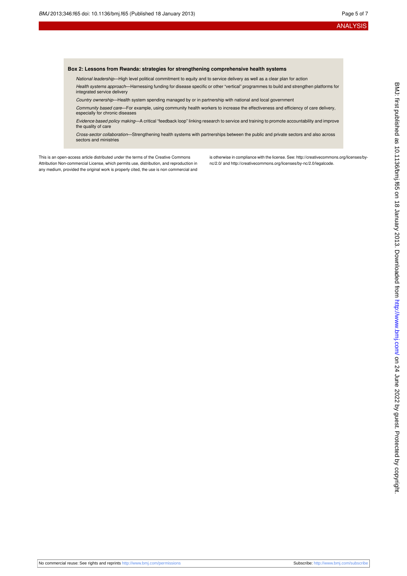#### ANALYSIS

#### **Box 2: Lessons from Rwanda: strategies for strengthening comprehensive health systems**

National leadership—High level political commitment to equity and to service delivery as well as a clear plan for action

Health systems approach—Harnessing funding for disease specific or other "vertical" programmes to build and strengthen platforms for integrated service delivery

Country ownership—Health system spending managed by or in partnership with national and local government

Community based care—For example, using community health workers to increase the effectiveness and efficiency of care delivery, especially for chronic diseases

Evidence based policy making—A critical "feedback loop" linking research to service and training to promote accountability and improve the quality of care

Cross-sector collaboration—Strengthening health systems with partnerships between the public and private sectors and also across sectors and ministries

This is an open-access article distributed under the terms of the Creative Commons Attribution Non-commercial License, which permits use, distribution, and reproduction in any medium, provided the original work is properly cited, the use is non commercial and is otherwise in compliance with the license. See: [http://creativecommons.org/licenses/by](http://creativecommons.org/licenses/by-nc/2.0/)[nc/2.0/](http://creativecommons.org/licenses/by-nc/2.0/) and<http://creativecommons.org/licenses/by-nc/2.0/legalcode>.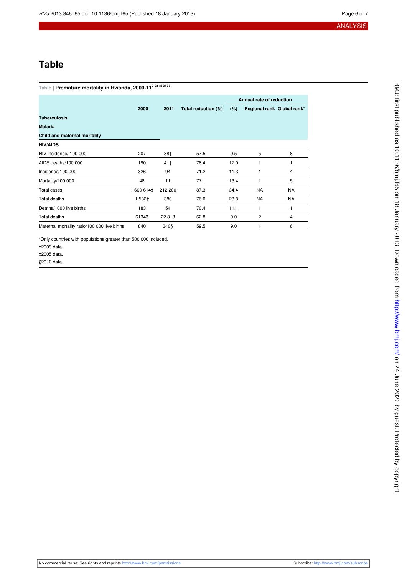## **Table**

<span id="page-5-0"></span>

| 2 22 33 34 35<br>Table   Premature mortality in Rwanda, 2000-11 |            |         |                     |                          |                            |           |  |
|-----------------------------------------------------------------|------------|---------|---------------------|--------------------------|----------------------------|-----------|--|
|                                                                 |            |         |                     | Annual rate of reduction |                            |           |  |
|                                                                 | 2000       | 2011    | Total reduction (%) | (%)                      | Regional rank Global rank* |           |  |
| <b>Tuberculosis</b>                                             |            |         |                     |                          |                            |           |  |
| <b>Malaria</b>                                                  |            |         |                     |                          |                            |           |  |
| Child and maternal mortality                                    |            |         |                     |                          |                            |           |  |
| <b>HIV/AIDS</b>                                                 |            |         |                     |                          |                            |           |  |
| HIV incidence/ 100 000                                          | 207        | 88†     | 57.5                | 9.5                      | 5                          | 8         |  |
| AIDS deaths/100 000                                             | 190        | 41†     | 78.4                | 17.0                     |                            |           |  |
| Incidence/100 000                                               | 326        | 94      | 71.2                | 11.3                     | $\mathbf{1}$               | 4         |  |
| Mortality/100 000                                               | 48         | 11      | 77.1                | 13.4                     | 1                          | 5         |  |
| <b>Total cases</b>                                              | 1 669 614‡ | 212 200 | 87.3                | 34.4                     | NA                         | NA        |  |
| Total deaths                                                    | 1 582‡     | 380     | 76.0                | 23.8                     | <b>NA</b>                  | <b>NA</b> |  |
| Deaths/1000 live births                                         | 183        | 54      | 70.4                | 11.1                     | 1                          |           |  |
| <b>Total deaths</b>                                             | 61343      | 22 813  | 62.8                | 9.0                      | $\overline{2}$             | 4         |  |
| Maternal mortality ratio/100 000 live births                    | 840        | 340\$   | 59.5                | 9.0                      | 1                          | 6         |  |

\*Only countries with populations greater than 500 000 included.

†2009 data.

‡2005 data.

§2010 data.